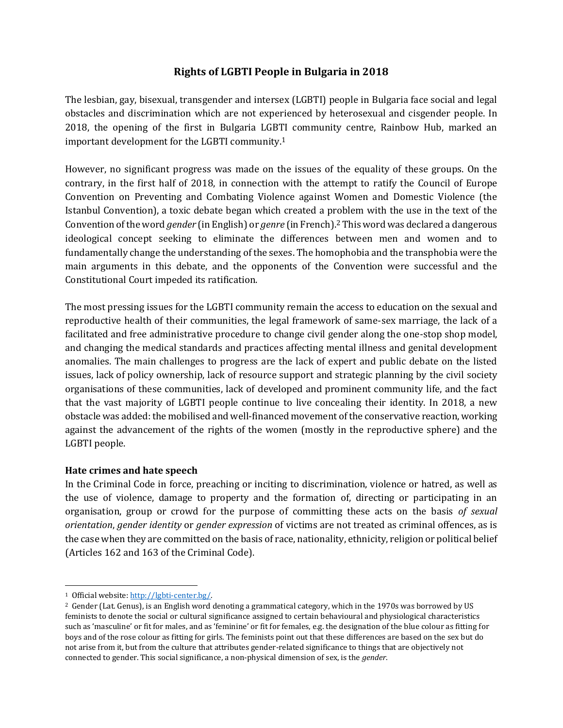# **Rights of LGBTI People in Bulgaria in 2018**

The lesbian, gay, bisexual, transgender and intersex (LGBTI) people in Bulgaria face social and legal obstacles and discrimination which are not experienced by heterosexual and cisgender people. In 2018, the opening of the first in Bulgaria LGBTI community centre, Rainbow Hub, marked an important development for the LGBTI community.<sup>1</sup>

However, no significant progress was made on the issues of the equality of these groups. On the contrary, in the first half of 2018, in connection with the attempt to ratify the Council of Europe Convention on Preventing and Combating Violence against Women and Domestic Violence (the Istanbul Convention), a toxic debate began which created a problem with the use in the text of the Convention of the word *gender* (in English) or *genre* (in French).<sup>2</sup> This word was declared a dangerous ideological concept seeking to eliminate the differences between men and women and to fundamentally change the understanding of the sexes. The homophobia and the transphobia were the main arguments in this debate, and the opponents of the Convention were successful and the Constitutional Court impeded its ratification.

The most pressing issues for the LGBTI community remain the access to education on the sexual and reproductive health of their communities, the legal framework of same-sex marriage, the lack of a facilitated and free administrative procedure to change civil gender along the one-stop shop model, and changing the medical standards and practices affecting mental illness and genital development anomalies. The main challenges to progress are the lack of expert and public debate on the listed issues, lack of policy ownership, lack of resource support and strategic planning by the civil society organisations of these communities, lack of developed and prominent community life, and the fact that the vast majority of LGBTI people continue to live concealing their identity. In 2018, a new obstacle was added: the mobilised and well-financed movement of the conservative reaction, working against the advancement of the rights of the women (mostly in the reproductive sphere) and the LGBTI people.

## **Hate crimes and hate speech**

In the Criminal Code in force, preaching or inciting to discrimination, violence or hatred, as well as the use of violence, damage to property and the formation of, directing or participating in an organisation, group or crowd for the purpose of committing these acts on the basis *of sexual orientation*, *gender identity* or *gender expression* of victims are not treated as criminal offences, as is the case when they are committed on the basis of race, nationality, ethnicity, religion or political belief (Articles 162 and 163 of the Criminal Code).

<sup>1</sup> Official website[: http://lgbti-center.bg/.](http://lgbti-center.bg/)

<sup>2</sup> Gender (Lat. Genus), is an English word denoting a grammatical category, which in the 1970s was borrowed by US feminists to denote the social or cultural significance assigned to certain behavioural and physiological characteristics such as 'masculine' or fit for males, and as 'feminine' or fit for females, e.g. the designation of the blue colour as fitting for boys and of the rose colour as fitting for girls. The feminists point out that these differences are based on the sex but do not arise from it, but from the culture that attributes gender-related significance to things that are objectively not connected to gender. This social significance, a non-physical dimension of sex, is the *gender*.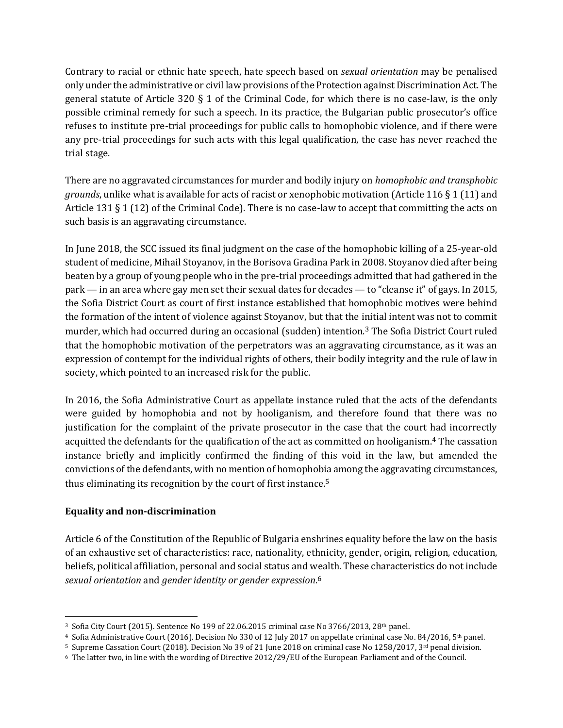Contrary to racial or ethnic hate speech, hate speech based on *sexual orientation* may be penalised only under the administrative or civil law provisions of the Protection against Discrimination Act. The general statute of Article 320 § 1 of the Criminal Code, for which there is no case-law, is the only possible criminal remedy for such a speech. In its practice, the Bulgarian public prosecutor's office refuses to institute pre-trial proceedings for public calls to homophobic violence, and if there were any pre-trial proceedings for such acts with this legal qualification, the case has never reached the trial stage.

There are no aggravated circumstances for murder and bodily injury on *homophobic and transphobic grounds*, unlike what is available for acts of racist or xenophobic motivation (Article 116 § 1 (11) and Article 131 § 1 (12) of the Criminal Code). There is no case-law to accept that committing the acts on such basis is an aggravating circumstance.

In June 2018, the SCC issued its final judgment on the case of the homophobic killing of a 25-year-old student of medicine, Mihail Stoyanov, in the Borisova Gradina Park in 2008. Stoyanov died after being beaten by a group of young people who in the pre-trial proceedings admitted that had gathered in the park — in an area where gay men set their sexual dates for decades — to "cleanse it" of gays. In 2015, the Sofia District Court as court of first instance established that homophobic motives were behind the formation of the intent of violence against Stoyanov, but that the initial intent was not to commit murder, which had occurred during an occasional (sudden) intention.<sup>3</sup> The Sofia District Court ruled that the homophobic motivation of the perpetrators was an aggravating circumstance, as it was an expression of contempt for the individual rights of others, their bodily integrity and the rule of law in society, which pointed to an increased risk for the public.

In 2016, the Sofia Administrative Court as appellate instance ruled that the acts of the defendants were guided by homophobia and not by hooliganism, and therefore found that there was no justification for the complaint of the private prosecutor in the case that the court had incorrectly acquitted the defendants for the qualification of the act as committed on hooliganism.<sup>4</sup> The cassation instance briefly and implicitly confirmed the finding of this void in the law, but amended the convictions of the defendants, with no mention of homophobia among the aggravating circumstances, thus eliminating its recognition by the court of first instance.<sup>5</sup>

## **Equality and non-discrimination**

Article 6 of the Constitution of the Republic of Bulgaria enshrines equality before the law on the basis of an exhaustive set of characteristics: race, nationality, ethnicity, gender, origin, religion, education, beliefs, political affiliation, personal and social status and wealth. These characteristics do not include *sexual orientation* and *gender identity or gender expression*. 6

<sup>&</sup>lt;sup>3</sup> Sofia City Court (2015). Sentence No 199 of 22.06.2015 criminal case No 3766/2013, 28<sup>th</sup> panel.

<sup>&</sup>lt;sup>4</sup> Sofia Administrative Court (2016). Decision No 330 of 12 July 2017 on appellate criminal case No. 84/2016, 5<sup>th</sup> panel.

<sup>&</sup>lt;sup>5</sup> Supreme Cassation Court (2018). Decision No 39 of 21 June 2018 on criminal case No 1258/2017, 3<sup>rd</sup> penal division.

<sup>6</sup> The latter two, in line with the wording of Directive 2012/29/EU of the European Parliament and of the Council.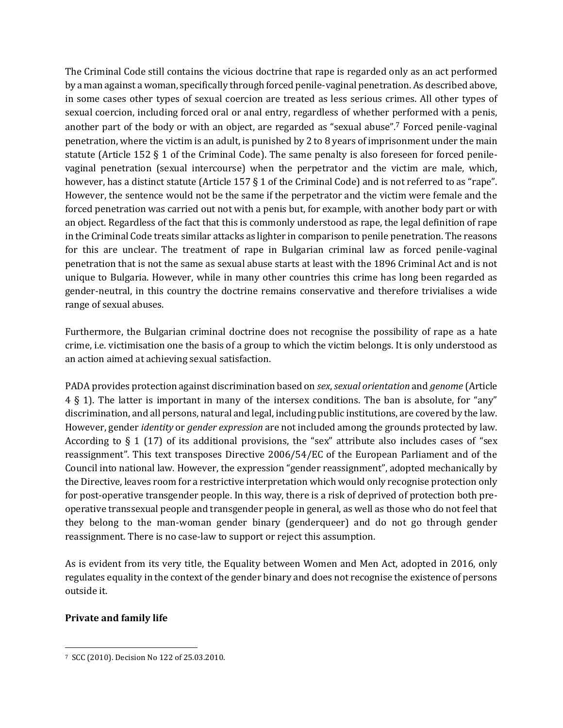The Criminal Code still contains the vicious doctrine that rape is regarded only as an act performed by a man against a woman, specifically through forced penile-vaginal penetration. As described above, in some cases other types of sexual coercion are treated as less serious crimes. All other types of sexual coercion, including forced oral or anal entry, regardless of whether performed with a penis, another part of the body or with an object, are regarded as "sexual abuse". <sup>7</sup> Forced penile-vaginal penetration, where the victim is an adult, is punished by 2 to 8 years of imprisonment under the main statute (Article 152 § 1 of the Criminal Code). The same penalty is also foreseen for forced penilevaginal penetration (sexual intercourse) when the perpetrator and the victim are male, which, however, has a distinct statute (Article 157 § 1 of the Criminal Code) and is not referred to as "rape". However, the sentence would not be the same if the perpetrator and the victim were female and the forced penetration was carried out not with a penis but, for example, with another body part or with an object. Regardless of the fact that this is commonly understood as rape, the legal definition of rape in the Criminal Code treats similar attacks as lighter in comparison to penile penetration. The reasons for this are unclear. The treatment of rape in Bulgarian criminal law as forced penile-vaginal penetration that is not the same as sexual abuse starts at least with the 1896 Criminal Act and is not unique to Bulgaria. However, while in many other countries this crime has long been regarded as gender-neutral, in this country the doctrine remains conservative and therefore trivialises a wide range of sexual abuses.

Furthermore, the Bulgarian criminal doctrine does not recognise the possibility of rape as a hate crime, i.e. victimisation one the basis of a group to which the victim belongs. It is only understood as an action aimed at achieving sexual satisfaction.

PADA provides protection against discrimination based on *sex*, *sexual orientation* and *genome* (Article 4 § 1). The latter is important in many of the intersex conditions. The ban is absolute, for "any" discrimination, and all persons, natural and legal, including public institutions, are covered by the law. However, gender *identity* or *gender expression* are not included among the grounds protected by law. According to  $\S 1$  (17) of its additional provisions, the "sex" attribute also includes cases of "sex" reassignment". This text transposes Directive 2006/54/EC of the European Parliament and of the Council into national law. However, the expression "gender reassignment", adopted mechanically by the Directive, leaves room for a restrictive interpretation which would only recognise protection only for post-operative transgender people. In this way, there is a risk of deprived of protection both preoperative transsexual people and transgender people in general, as well as those who do not feel that they belong to the man-woman gender binary (genderqueer) and do not go through gender reassignment. There is no case-law to support or reject this assumption.

As is evident from its very title, the Equality between Women and Men Act, adopted in 2016, only regulates equality in the context of the gender binary and does not recognise the existence of persons outside it.

# **Private and family life**

<sup>7</sup> SCC (2010). Decision No 122 of 25.03.2010.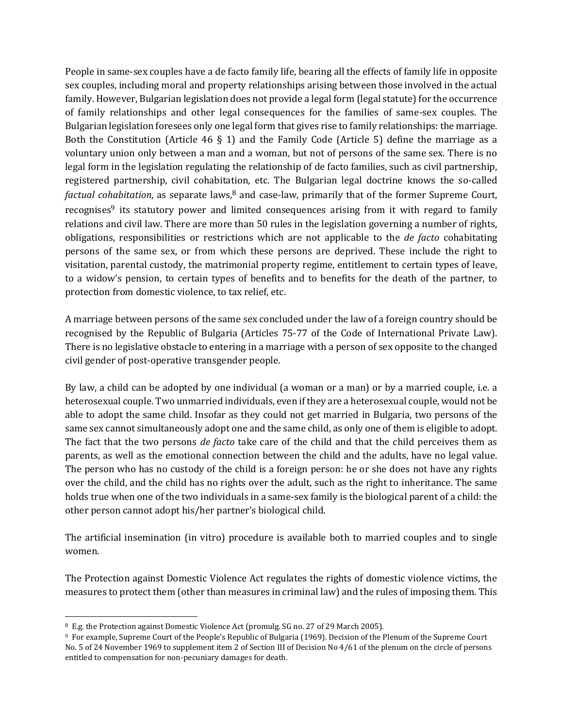People in same-sex couples have a de facto family life, bearing all the effects of family life in opposite sex couples, including moral and property relationships arising between those involved in the actual family. However, Bulgarian legislation does not provide a legal form (legal statute) for the occurrence of family relationships and other legal consequences for the families of same-sex couples. The Bulgarian legislation foresees only one legal form that gives rise to family relationships: the marriage. Both the Constitution (Article 46  $\S$  1) and the Family Code (Article 5) define the marriage as a voluntary union only between a man and a woman, but not of persons of the same sex. There is no legal form in the legislation regulating the relationship of de facto families, such as civil partnership, registered partnership, civil cohabitation, etc. The Bulgarian legal doctrine knows the so-called *factual cohabitation*, as separate laws,<sup>8</sup> and case-law, primarily that of the former Supreme Court, recognises<sup>9</sup> its statutory power and limited consequences arising from it with regard to family relations and civil law. There are more than 50 rules in the legislation governing a number of rights, obligations, responsibilities or restrictions which are not applicable to the *de facto* cohabitating persons of the same sex, or from which these persons are deprived. These include the right to visitation, parental custody, the matrimonial property regime, entitlement to certain types of leave, to a widow's pension, to certain types of benefits and to benefits for the death of the partner, to protection from domestic violence, to tax relief, etc.

A marriage between persons of the same sex concluded under the law of a foreign country should be recognised by the Republic of Bulgaria (Articles 75-77 of the Code of International Private Law). There is no legislative obstacle to entering in a marriage with a person of sex opposite to the changed civil gender of post-operative transgender people.

By law, a child can be adopted by one individual (a woman or a man) or by a married couple, i.e. a heterosexual couple. Two unmarried individuals, even if they are a heterosexual couple, would not be able to adopt the same child. Insofar as they could not get married in Bulgaria, two persons of the same sex cannot simultaneously adopt one and the same child, as only one of them is eligible to adopt. The fact that the two persons *de facto* take care of the child and that the child perceives them as parents, as well as the emotional connection between the child and the adults, have no legal value. The person who has no custody of the child is a foreign person: he or she does not have any rights over the child, and the child has no rights over the adult, such as the right to inheritance. The same holds true when one of the two individuals in a same-sex family is the biological parent of a child: the other person cannot adopt his/her partner's biological child.

The artificial insemination (in vitro) procedure is available both to married couples and to single women.

The Protection against Domestic Violence Act regulates the rights of domestic violence victims, the measures to protect them (other than measures in criminal law) and the rules of imposing them. This

<sup>8</sup> E.g. the Protection against Domestic Violence Act (promulg. SG no. 27 of 29 March 2005).

<sup>9</sup> For example, Supreme Court of the People's Republic of Bulgaria (1969). Decision of the Plenum of the Supreme Court No. 5 of 24 November 1969 to supplement item 2 of Section III of Decision No 4/61 of the plenum on the circle of persons entitled to compensation for non-pecuniary damages for death.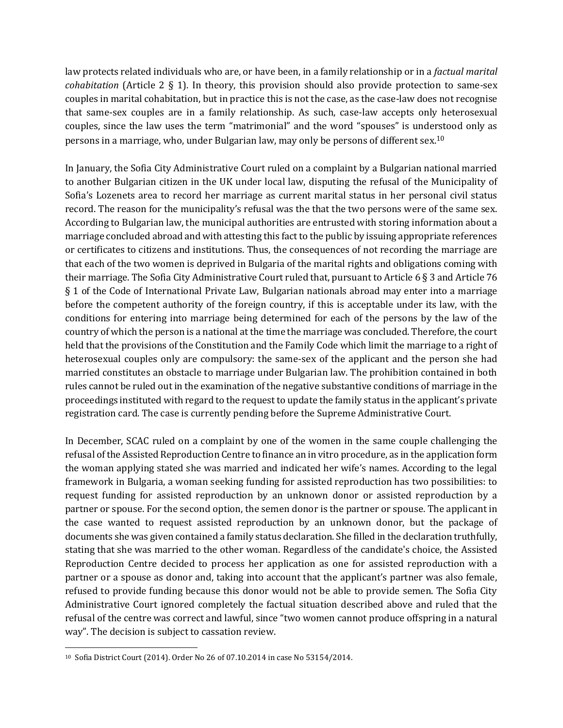law protects related individuals who are, or have been, in a family relationship or in a *factual marital cohabitation* (Article 2 § 1). In theory, this provision should also provide protection to same-sex couples in marital cohabitation, but in practice this is not the case, as the case-law does not recognise that same-sex couples are in a family relationship. As such, case-law accepts only heterosexual couples, since the law uses the term "matrimonial" and the word "spouses" is understood only as persons in a marriage, who, under Bulgarian law, may only be persons of different sex.<sup>10</sup>

In January, the Sofia City Administrative Court ruled on a complaint by a Bulgarian national married to another Bulgarian citizen in the UK under local law, disputing the refusal of the Municipality of Sofia's Lozenets area to record her marriage as current marital status in her personal civil status record. The reason for the municipality's refusal was the that the two persons were of the same sex. According to Bulgarian law, the municipal authorities are entrusted with storing information about a marriage concluded abroad and with attesting this fact to the public by issuing appropriate references or certificates to citizens and institutions. Thus, the consequences of not recording the marriage are that each of the two women is deprived in Bulgaria of the marital rights and obligations coming with their marriage. The Sofia City Administrative Court ruled that, pursuant to Article 6 § 3 and Article 76 § 1 of the Code of International Private Law, Bulgarian nationals abroad may enter into a marriage before the competent authority of the foreign country, if this is acceptable under its law, with the conditions for entering into marriage being determined for each of the persons by the law of the country of which the person is a national at the time the marriage was concluded. Therefore, the court held that the provisions of the Constitution and the Family Code which limit the marriage to a right of heterosexual couples only are compulsory: the same-sex of the applicant and the person she had married constitutes an obstacle to marriage under Bulgarian law. The prohibition contained in both rules cannot be ruled out in the examination of the negative substantive conditions of marriage in the proceedings instituted with regard to the request to update the family status in the applicant's private registration card. The case is currently pending before the Supreme Administrative Court.

In December, SCAC ruled on a complaint by one of the women in the same couple challenging the refusal of the Assisted Reproduction Centre to finance an in vitro procedure, as in the application form the woman applying stated she was married and indicated her wife's names. According to the legal framework in Bulgaria, a woman seeking funding for assisted reproduction has two possibilities: to request funding for assisted reproduction by an unknown donor or assisted reproduction by a partner or spouse. For the second option, the semen donor is the partner or spouse. The applicant in the case wanted to request assisted reproduction by an unknown donor, but the package of documents she was given contained a family status declaration. She filled in the declaration truthfully, stating that she was married to the other woman. Regardless of the candidate's choice, the Assisted Reproduction Centre decided to process her application as one for assisted reproduction with a partner or a spouse as donor and, taking into account that the applicant's partner was also female, refused to provide funding because this donor would not be able to provide semen. The Sofia City Administrative Court ignored completely the factual situation described above and ruled that the refusal of the centre was correct and lawful, since "two women cannot produce offspring in a natural way". The decision is subject to cassation review.

<sup>10</sup> Sofia District Court (2014). Order No 26 of 07.10.2014 in case No 53154/2014.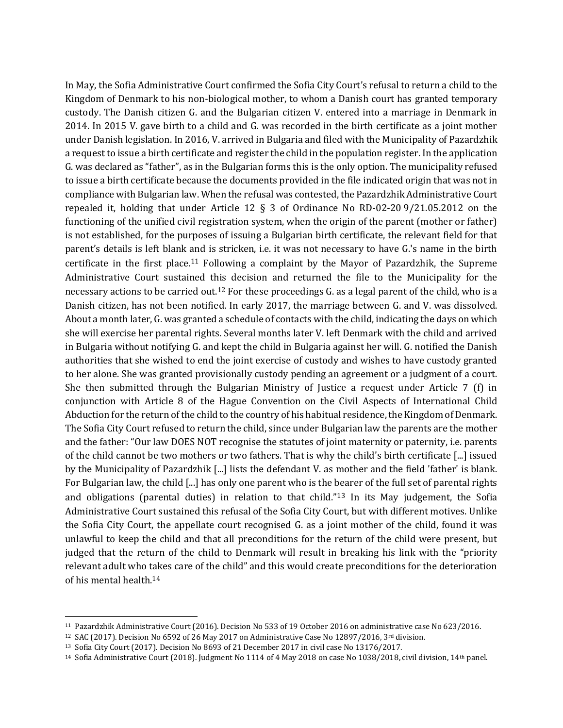In May, the Sofia Administrative Court confirmed the Sofia City Court's refusal to return a child to the Kingdom of Denmark to his non-biological mother, to whom a Danish court has granted temporary custody. The Danish citizen G. and the Bulgarian citizen V. entered into a marriage in Denmark in 2014. In 2015 V. gave birth to a child and G. was recorded in the birth certificate as a joint mother under Danish legislation. In 2016, V. arrived in Bulgaria and filed with the Municipality of Pazardzhik a request to issue a birth certificate and register the child in the population register. In the application G. was declared as "father", as in the Bulgarian forms this is the only option. The municipality refused to issue a birth certificate because the documents provided in the file indicated origin that was not in compliance with Bulgarian law. When the refusal was contested, the Pazardzhik Administrative Court repealed it, holding that under Article 12 § 3 of Ordinance No RD-02-20 9/21.05.2012 on the functioning of the unified civil registration system, when the origin of the parent (mother or father) is not established, for the purposes of issuing a Bulgarian birth certificate, the relevant field for that parent's details is left blank and is stricken, i.e. it was not necessary to have G.'s name in the birth certificate in the first place.<sup>11</sup> Following a complaint by the Mayor of Pazardzhik, the Supreme Administrative Court sustained this decision and returned the file to the Municipality for the necessary actions to be carried out.<sup>12</sup> For these proceedings G. as a legal parent of the child, who is a Danish citizen, has not been notified. In early 2017, the marriage between G. and V. was dissolved. About a month later, G. was granted a schedule of contacts with the child, indicating the days on which she will exercise her parental rights. Several months later V. left Denmark with the child and arrived in Bulgaria without notifying G. and kept the child in Bulgaria against her will. G. notified the Danish authorities that she wished to end the joint exercise of custody and wishes to have custody granted to her alone. She was granted provisionally custody pending an agreement or a judgment of a court. She then submitted through the Bulgarian Ministry of Justice a request under Article 7 (f) in conjunction with Article 8 of the Hague Convention on the Civil Aspects of International Child Abduction for the return of the child to the country of his habitual residence, the Kingdom of Denmark. The Sofia City Court refused to return the child, since under Bulgarian law the parents are the mother and the father: "Our law DOES NOT recognise the statutes of joint maternity or paternity, i.e. parents of the child cannot be two mothers or two fathers. That is why the child's birth certificate [...] issued by the Municipality of Pazardzhik [...] lists the defendant V. as mother and the field 'father' is blank. For Bulgarian law, the child [...] has only one parent who is the bearer of the full set of parental rights and obligations (parental duties) in relation to that child."<sup>13</sup> In its May judgement, the Sofia Administrative Court sustained this refusal of the Sofia City Court, but with different motives. Unlike the Sofia City Court, the appellate court recognised G. as a joint mother of the child, found it was unlawful to keep the child and that all preconditions for the return of the child were present, but judged that the return of the child to Denmark will result in breaking his link with the "priority relevant adult who takes care of the child" and this would create preconditions for the deterioration of his mental health.<sup>14</sup>

<sup>11</sup> Pazardzhik Administrative Court (2016). Decision No 533 of 19 October 2016 on administrative case No 623/2016.

<sup>&</sup>lt;sup>12</sup> SAC (2017). Decision No 6592 of 26 May 2017 on Administrative Case No 12897/2016, 3<sup>rd</sup> division.

<sup>13</sup> Sofia City Court (2017). Decision No 8693 of 21 December 2017 in civil case No 13176/2017.

<sup>14</sup> Sofia Administrative Court (2018). Judgment No 1114 of 4 May 2018 on case No 1038/2018, civil division, 14<sup>th</sup> panel.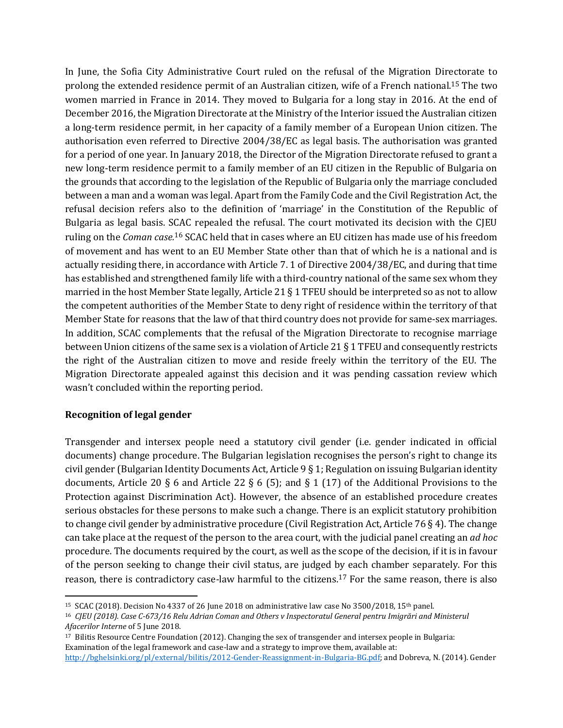In June, the Sofia City Administrative Court ruled on the refusal of the Migration Directorate to prolong the extended residence permit of an Australian citizen, wife of a French national. <sup>15</sup> The two women married in France in 2014. They moved to Bulgaria for a long stay in 2016. At the end of December 2016, the Migration Directorate at the Ministry of the Interior issued the Australian citizen a long-term residence permit, in her capacity of a family member of a European Union citizen. The authorisation even referred to Directive 2004/38/EC as legal basis. The authorisation was granted for a period of one year. In January 2018, the Director of the Migration Directorate refused to grant a new long-term residence permit to a family member of an EU citizen in the Republic of Bulgaria on the grounds that according to the legislation of the Republic of Bulgaria only the marriage concluded between a man and a woman was legal. Apart from the Family Code and the Civil Registration Act, the refusal decision refers also to the definition of 'marriage' in the Constitution of the Republic of Bulgaria as legal basis. SCAC repealed the refusal. The court motivated its decision with the CJEU ruling on the *Coman case.*<sup>16</sup> SCAC held that in cases where an EU citizen has made use of his freedom of movement and has went to an EU Member State other than that of which he is a national and is actually residing there, in accordance with Article 7. 1 of Directive 2004/38/EC, and during that time has established and strengthened family life with a third-country national of the same sex whom they married in the host Member State legally, Article 21 § 1 TFEU should be interpreted so as not to allow the competent authorities of the Member State to deny right of residence within the territory of that Member State for reasons that the law of that third country does not provide for same-sex marriages. In addition, SCAC complements that the refusal of the Migration Directorate to recognise marriage between Union citizens of the same sex is a violation of Article 21 § 1 TFEU and consequently restricts the right of the Australian citizen to move and reside freely within the territory of the EU. The Migration Directorate appealed against this decision and it was pending cassation review which wasn't concluded within the reporting period.

## **Recognition of legal gender**

Transgender and intersex people need a statutory civil gender (i.e. gender indicated in official documents) change procedure. The Bulgarian legislation recognises the person's right to change its civil gender (Bulgarian Identity Documents Act, Article 9 § 1; Regulation on issuing Bulgarian identity documents, Article 20 § 6 and Article 22 § 6 (5); and § 1 (17) of the Additional Provisions to the Protection against Discrimination Act). However, the absence of an established procedure creates serious obstacles for these persons to make such a change. There is an explicit statutory prohibition to change civil gender by administrative procedure (Civil Registration Act, Article 76 § 4). The change can take place at the request of the person to the area court, with the judicial panel creating an *ad hoc* procedure. The documents required by the court, as well as the scope of the decision, if it is in favour of the person seeking to change their civil status, are judged by each chamber separately. For this reason, there is contradictory case-law harmful to the citizens.<sup>17</sup> For the same reason, there is also

 <sup>15</sup> SCAC (2018). Decision No 4337 of 26 June 2018 on administrative law case No 3500/2018, 15th panel.

<sup>16</sup> *CJEU (2018). Case C-673/16 Relu Adrian Coman and Others v Inspectoratul General pentru Imigrări and Ministerul Afacerilor Interne* of 5 June 2018.

<sup>17</sup> Bilitis Resource Centre Foundation (2012). Changing the sex of transgender and intersex people in Bulgaria: Examination of the legal framework and case-law and a strategy to improve them, available at: [http://bghelsinki.org/pl/external/bilitis/2012-Gender-Reassignment-in-Bulgaria-BG.pdf;](http://bghelsinki.org/pl/external/bilitis/2012-Gender-Reassignment-in-Bulgaria-BG.pdf) and Dobreva, N. (2014). Gender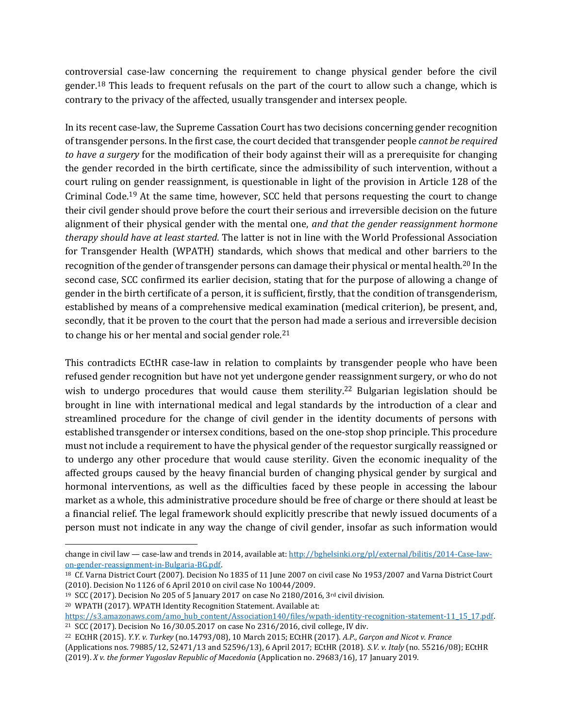controversial case-law concerning the requirement to change physical gender before the civil gender.<sup>18</sup> This leads to frequent refusals on the part of the court to allow such a change, which is contrary to the privacy of the affected, usually transgender and intersex people.

In its recent case-law, the Supreme Cassation Court has two decisions concerning gender recognition of transgender persons. In the first case, the court decided that transgender people *cannot be required to have a surgery* for the modification of their body against their will as a prerequisite for changing the gender recorded in the birth certificate, since the admissibility of such intervention, without a court ruling on gender reassignment, is questionable in light of the provision in Article 128 of the Criminal Code.<sup>19</sup> At the same time, however, SCC held that persons requesting the court to change their civil gender should prove before the court their serious and irreversible decision on the future alignment of their physical gender with the mental one, *and that the gender reassignment hormone therapy should have at least started*. The latter is not in line with the World Professional Association for Transgender Health (WPATH) standards, which shows that medical and other barriers to the recognition of the gender of transgender persons can damage their physical or mental health.<sup>20</sup> In the second case, SCC confirmed its earlier decision, stating that for the purpose of allowing a change of gender in the birth certificate of a person, it is sufficient, firstly, that the condition of transgenderism, established by means of a comprehensive medical examination (medical criterion), be present, and, secondly, that it be proven to the court that the person had made a serious and irreversible decision to change his or her mental and social gender role.<sup>21</sup>

This contradicts ECtHR case-law in relation to complaints by transgender people who have been refused gender recognition but have not yet undergone gender reassignment surgery, or who do not wish to undergo procedures that would cause them sterility.<sup>22</sup> Bulgarian legislation should be brought in line with international medical and legal standards by the introduction of a clear and streamlined procedure for the change of civil gender in the identity documents of persons with established transgender or intersex conditions, based on the one-stop shop principle. This procedure must not include a requirement to have the physical gender of the requestor surgically reassigned or to undergo any other procedure that would cause sterility. Given the economic inequality of the affected groups caused by the heavy financial burden of changing physical gender by surgical and hormonal interventions, as well as the difficulties faced by these people in accessing the labour market as a whole, this administrative procedure should be free of charge or there should at least be a financial relief. The legal framework should explicitly prescribe that newly issued documents of a person must not indicate in any way the change of civil gender, insofar as such information would

change in civil law — case-law and trends in 2014, available at[: http://bghelsinki.org/pl/external/bilitis/2014-Case-law](http://bghelsinki.org/pl/external/bilitis/2014-Case-law-on-gender-reassignment-in-Bulgaria-BG.pdf)[on-gender-reassignment-in-Bulgaria-BG.pdf.](http://bghelsinki.org/pl/external/bilitis/2014-Case-law-on-gender-reassignment-in-Bulgaria-BG.pdf)

<sup>18</sup> Cf. Varna District Court (2007). Decision No 1835 of 11 June 2007 on civil case No 1953/2007 and Varna District Court (2010). Decision No 1126 of 6 April 2010 on civil case No 10044/2009.

<sup>&</sup>lt;sup>19</sup> SCC (2017). Decision No 205 of 5 January 2017 on case No 2180/2016, 3<sup>rd</sup> civil division.

<sup>20</sup> WPATH (2017). WPATH Identity Recognition Statement. Available at:

[https://s3.amazonaws.com/amo\\_hub\\_content/Association140/files/wpath-identity-recognition-statement-11\\_15\\_17.pdf.](https://s3.amazonaws.com/amo_hub_content/Association140/files/wpath-identity-recognition-statement-11_15_17.pdf)

<sup>21</sup> SCC (2017). Decision No 16/30.05.2017 on case No 2316/2016, civil college, IV div.

<sup>22</sup> ECtHR (2015). *Y.Y. v. Turkey* (no.14793/08), 10 March 2015; ECtHR (2017). *A.P., Garçon and Nicot v. France* (Applications nos. 79885/12, 52471/13 and 52596/13), 6 April 2017; ECtHR (2018). *S.V. v. Italy* (no. 55216/08); ECtHR (2019). *X v. the former Yugoslav Republic of Macedonia* (Application no. 29683/16), 17 January 2019.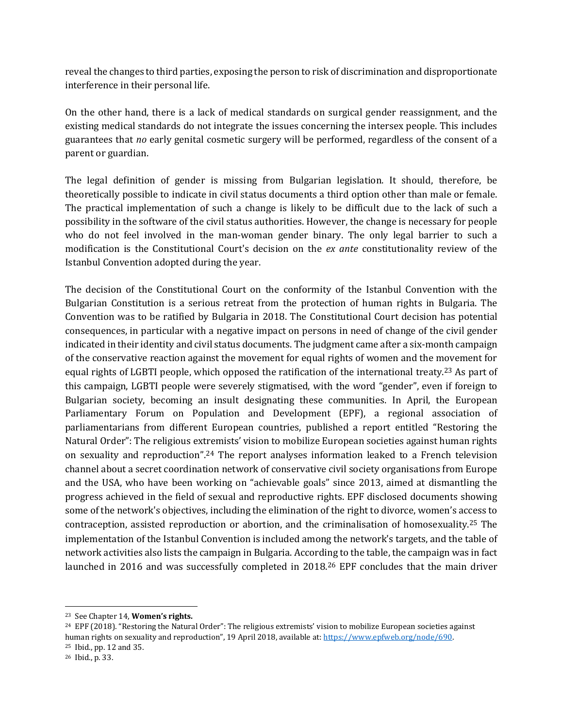reveal the changes to third parties, exposing the person to risk of discrimination and disproportionate interference in their personal life.

On the other hand, there is a lack of medical standards on surgical gender reassignment, and the existing medical standards do not integrate the issues concerning the intersex people. This includes guarantees that *no* early genital cosmetic surgery will be performed, regardless of the consent of a parent or guardian.

The legal definition of gender is missing from Bulgarian legislation. It should, therefore, be theoretically possible to indicate in civil status documents a third option other than male or female. The practical implementation of such a change is likely to be difficult due to the lack of such a possibility in the software of the civil status authorities. However, the change is necessary for people who do not feel involved in the man-woman gender binary. The only legal barrier to such a modification is the Constitutional Court's decision on the *ex ante* constitutionality review of the Istanbul Convention adopted during the year.

The decision of the Constitutional Court on the conformity of the Istanbul Convention with the Bulgarian Constitution is a serious retreat from the protection of human rights in Bulgaria. The Convention was to be ratified by Bulgaria in 2018. The Constitutional Court decision has potential consequences, in particular with a negative impact on persons in need of change of the civil gender indicated in their identity and civil status documents. The judgment came after a six-month campaign of the conservative reaction against the movement for equal rights of women and the movement for equal rights of LGBTI people, which opposed the ratification of the international treaty.<sup>23</sup> As part of this campaign, LGBTI people were severely stigmatised, with the word "gender", even if foreign to Bulgarian society, becoming an insult designating these communities. In April, the European Parliamentary Forum on Population and Development (EPF), a regional association of parliamentarians from different European countries, published a report entitled "Restoring the Natural Order": The religious extremists' vision to mobilize European societies against human rights on sexuality and reproduction".<sup>24</sup> The report analyses information leaked to a French television channel about a secret coordination network of conservative civil society organisations from Europe and the USA, who have been working on "achievable goals" since 2013, aimed at dismantling the progress achieved in the field of sexual and reproductive rights. EPF disclosed documents showing some of the network's objectives, including the elimination of the right to divorce, women's access to contraception, assisted reproduction or abortion, and the criminalisation of homosexuality.<sup>25</sup> The implementation of the Istanbul Convention is included among the network's targets, and the table of network activities also lists the campaign in Bulgaria. According to the table, the campaign was in fact launched in 2016 and was successfully completed in 2018.<sup>26</sup> EPF concludes that the main driver

<sup>23</sup> See Chapter 14, **Women's rights.**

 $24$  EPF (2018). "Restoring the Natural Order": The religious extremists' vision to mobilize European societies against human rights on sexuality and reproduction", 19 April 2018, available at: [https://www.epfweb.org/node/690.](https://www.epfweb.org/node/690) <sup>25</sup> Ibid., pp. 12 and 35.

<sup>26</sup> Ibid., p. 33.